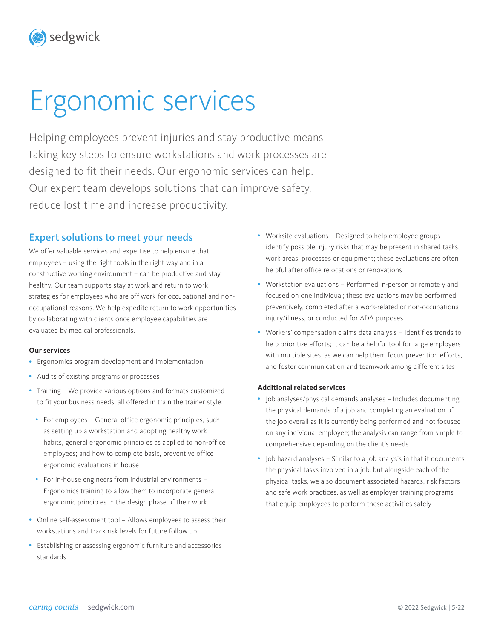# Ergonomic services

Helping employees prevent injuries and stay productive means taking key steps to ensure workstations and work processes are designed to fit their needs. Our ergonomic services can help. Our expert team develops solutions that can improve safety, reduce lost time and increase productivity.

## Expert solutions to meet your needs

We offer valuable services and expertise to help ensure that employees – using the right tools in the right way and in a constructive working environment – can be productive and stay healthy. Our team supports stay at work and return to work strategies for employees who are off work for occupational and nonoccupational reasons. We help expedite return to work opportunities by collaborating with clients once employee capabilities are evaluated by medical professionals.

#### **Our services**

sedgwick

- Ergonomics program development and implementation
- Audits of existing programs or processes
- Training We provide various options and formats customized to fit your business needs; all offered in train the trainer style:
	- For employees General office ergonomic principles, such as setting up a workstation and adopting healthy work habits, general ergonomic principles as applied to non-office employees; and how to complete basic, preventive office ergonomic evaluations in house
	- For in-house engineers from industrial environments Ergonomics training to allow them to incorporate general ergonomic principles in the design phase of their work
- Online self-assessment tool Allows employees to assess their workstations and track risk levels for future follow up
- Establishing or assessing ergonomic furniture and accessories standards
- Worksite evaluations Designed to help employee groups identify possible injury risks that may be present in shared tasks, work areas, processes or equipment; these evaluations are often helpful after office relocations or renovations
- Workstation evaluations Performed in-person or remotely and focused on one individual; these evaluations may be performed preventively, completed after a work-related or non-occupational injury/illness, or conducted for ADA purposes
- Workers' compensation claims data analysis Identifies trends to help prioritize efforts; it can be a helpful tool for large employers with multiple sites, as we can help them focus prevention efforts, and foster communication and teamwork among different sites

#### **Additional related services**

- Job analyses/physical demands analyses Includes documenting the physical demands of a job and completing an evaluation of the job overall as it is currently being performed and not focused on any individual employee; the analysis can range from simple to comprehensive depending on the client's needs
- Job hazard analyses Similar to a job analysis in that it documents the physical tasks involved in a job, but alongside each of the physical tasks, we also document associated hazards, risk factors and safe work practices, as well as employer training programs that equip employees to perform these activities safely